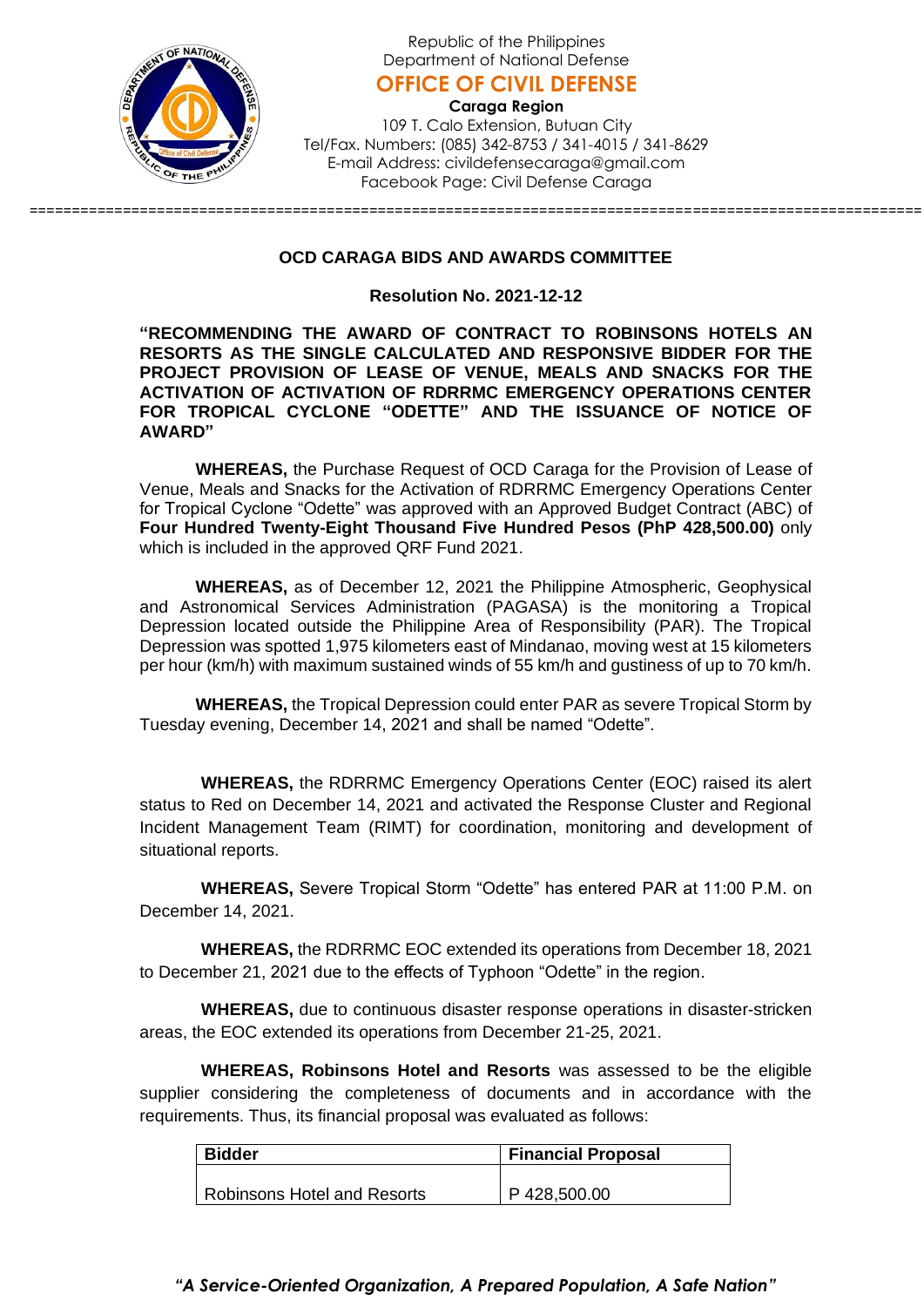

Republic of the Philippines Department of National Defense

**OFFICE OF CIVIL DEFENSE**

**Caraga Region** 109 T. Calo Extension, Butuan City Tel/Fax. Numbers: (085) 342-8753 / 341-4015 / 341-8629 E-mail Address: civildefensecaraga@gmail.com Facebook Page: Civil Defense Caraga

## **OCD CARAGA BIDS AND AWARDS COMMITTEE**

=========================================================================================================

## **Resolution No. 2021-12-12**

**"RECOMMENDING THE AWARD OF CONTRACT TO ROBINSONS HOTELS AN RESORTS AS THE SINGLE CALCULATED AND RESPONSIVE BIDDER FOR THE PROJECT PROVISION OF LEASE OF VENUE, MEALS AND SNACKS FOR THE ACTIVATION OF ACTIVATION OF RDRRMC EMERGENCY OPERATIONS CENTER FOR TROPICAL CYCLONE "ODETTE" AND THE ISSUANCE OF NOTICE OF AWARD"**

**WHEREAS,** the Purchase Request of OCD Caraga for the Provision of Lease of Venue, Meals and Snacks for the Activation of RDRRMC Emergency Operations Center for Tropical Cyclone "Odette" was approved with an Approved Budget Contract (ABC) of **Four Hundred Twenty-Eight Thousand Five Hundred Pesos (PhP 428,500.00)** only which is included in the approved QRF Fund 2021.

**WHEREAS,** as of December 12, 2021 the Philippine Atmospheric, Geophysical and Astronomical Services Administration (PAGASA) is the monitoring a Tropical Depression located outside the Philippine Area of Responsibility (PAR). The Tropical Depression was spotted 1,975 kilometers east of Mindanao, moving west at 15 kilometers per hour (km/h) with maximum sustained winds of 55 km/h and gustiness of up to 70 km/h.

**WHEREAS,** the Tropical Depression could enter PAR as severe Tropical Storm by Tuesday evening, December 14, 2021 and shall be named "Odette".

 **WHEREAS,** the RDRRMC Emergency Operations Center (EOC) raised its alert status to Red on December 14, 2021 and activated the Response Cluster and Regional Incident Management Team (RIMT) for coordination, monitoring and development of situational reports.

 **WHEREAS,** Severe Tropical Storm "Odette" has entered PAR at 11:00 P.M. on December 14, 2021.

 **WHEREAS,** the RDRRMC EOC extended its operations from December 18, 2021 to December 21, 2021 due to the effects of Typhoon "Odette" in the region.

 **WHEREAS,** due to continuous disaster response operations in disaster-stricken areas, the EOC extended its operations from December 21-25, 2021.

 **WHEREAS, Robinsons Hotel and Resorts** was assessed to be the eligible supplier considering the completeness of documents and in accordance with the requirements. Thus, its financial proposal was evaluated as follows:

| <b>Bidder</b>                      | Financial Proposal |
|------------------------------------|--------------------|
|                                    |                    |
| <b>Robinsons Hotel and Resorts</b> | P 428,500.00       |

## *"A Service-Oriented Organization, A Prepared Population, A Safe Nation"*